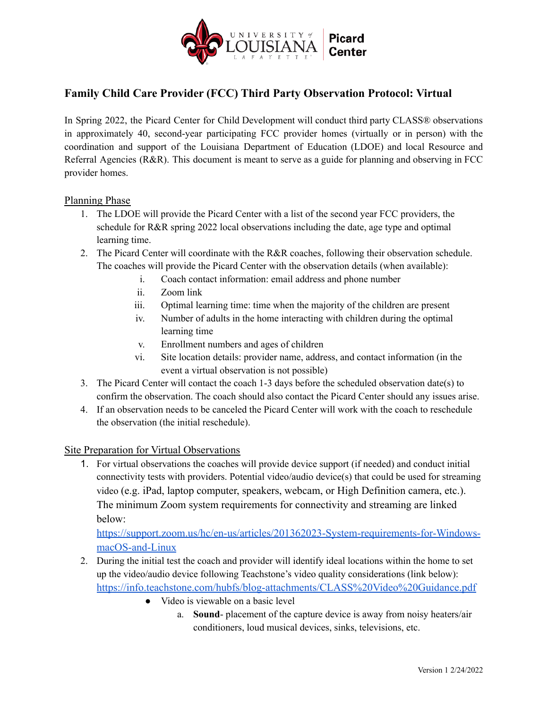

# **Family Child Care Provider (FCC) Third Party Observation Protocol: Virtual**

In Spring 2022, the Picard Center for Child Development will conduct third party CLASS® observations in approximately 40, second-year participating FCC provider homes (virtually or in person) with the coordination and support of the Louisiana Department of Education (LDOE) and local Resource and Referral Agencies (R&R). This document is meant to serve as a guide for planning and observing in FCC provider homes.

## Planning Phase

- 1. The LDOE will provide the Picard Center with a list of the second year FCC providers, the schedule for R&R spring 2022 local observations including the date, age type and optimal learning time.
- 2. The Picard Center will coordinate with the R&R coaches, following their observation schedule. The coaches will provide the Picard Center with the observation details (when available):
	- i. Coach contact information: email address and phone number
	- ii. Zoom link
	- iii. Optimal learning time: time when the majority of the children are present
	- iv. Number of adults in the home interacting with children during the optimal learning time
	- v. Enrollment numbers and ages of children
	- vi. Site location details: provider name, address, and contact information (in the event a virtual observation is not possible)
- 3. The Picard Center will contact the coach 1-3 days before the scheduled observation date(s) to confirm the observation. The coach should also contact the Picard Center should any issues arise.
- 4. If an observation needs to be canceled the Picard Center will work with the coach to reschedule the observation (the initial reschedule).

## Site Preparation for Virtual Observations

1. For virtual observations the coaches will provide device support (if needed) and conduct initial connectivity tests with providers. Potential video/audio device(s) that could be used for streaming video (e.g. iPad, laptop computer, speakers, webcam, or High Definition camera, etc.). The minimum Zoom system requirements for connectivity and streaming are linked below:

[https://support.zoom.us/hc/en-us/articles/201362023-System-requirements-for-Windows](https://support.zoom.us/hc/en-us/articles/201362023-System-requirements-for-Windows-macOS-and-Linux)[macOS-and-Linux](https://support.zoom.us/hc/en-us/articles/201362023-System-requirements-for-Windows-macOS-and-Linux)

- 2. During the initial test the coach and provider will identify ideal locations within the home to set up the video/audio device following Teachstone's video quality considerations (link below): <https://info.teachstone.com/hubfs/blog-attachments/CLASS%20Video%20Guidance.pdf>
	- Video is viewable on a basic level
		- a. **Sound** placement of the capture device is away from noisy heaters/air conditioners, loud musical devices, sinks, televisions, etc.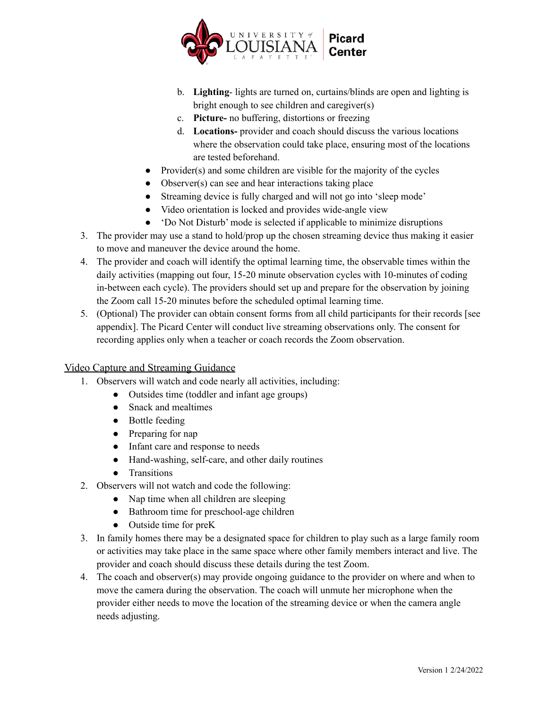

- b. **Lighting** lights are turned on, curtains/blinds are open and lighting is bright enough to see children and caregiver(s)
- c. **Picture-** no buffering, distortions or freezing
- d. **Locations-** provider and coach should discuss the various locations where the observation could take place, ensuring most of the locations are tested beforehand.
- $\bullet$  Provider(s) and some children are visible for the majority of the cycles
- Observer(s) can see and hear interactions taking place
- Streaming device is fully charged and will not go into 'sleep mode'
- Video orientation is locked and provides wide-angle view
- 'Do Not Disturb' mode is selected if applicable to minimize disruptions
- 3. The provider may use a stand to hold/prop up the chosen streaming device thus making it easier to move and maneuver the device around the home.
- 4. The provider and coach will identify the optimal learning time, the observable times within the daily activities (mapping out four, 15-20 minute observation cycles with 10-minutes of coding in-between each cycle). The providers should set up and prepare for the observation by joining the Zoom call 15-20 minutes before the scheduled optimal learning time.
- 5. (Optional) The provider can obtain consent forms from all child participants for their records [see appendix]. The Picard Center will conduct live streaming observations only. The consent for recording applies only when a teacher or coach records the Zoom observation.

# Video Capture and Streaming Guidance

- 1. Observers will watch and code nearly all activities, including:
	- Outsides time (toddler and infant age groups)
		- Snack and mealtimes
		- Bottle feeding
		- Preparing for nap
		- Infant care and response to needs
		- Hand-washing, self-care, and other daily routines
		- Transitions
- 2. Observers will not watch and code the following:
	- Nap time when all children are sleeping
	- Bathroom time for preschool-age children
	- Outside time for preK
- 3. In family homes there may be a designated space for children to play such as a large family room or activities may take place in the same space where other family members interact and live. The provider and coach should discuss these details during the test Zoom.
- 4. The coach and observer(s) may provide ongoing guidance to the provider on where and when to move the camera during the observation. The coach will unmute her microphone when the provider either needs to move the location of the streaming device or when the camera angle needs adjusting.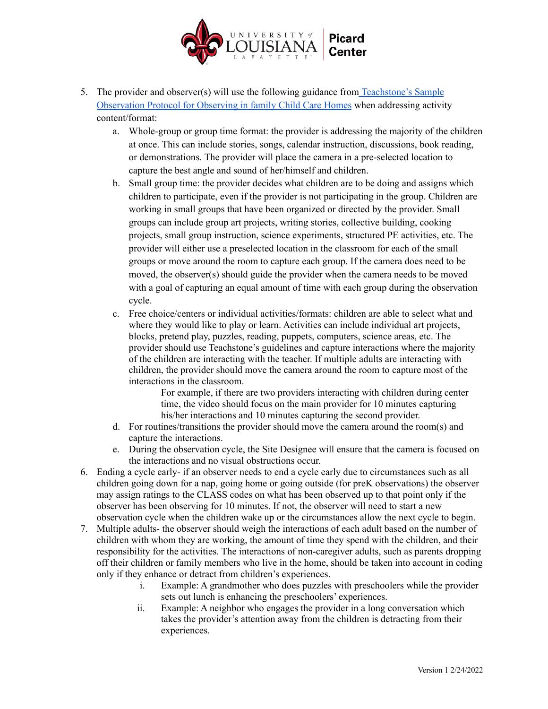

- 5. The provider and observer(s) will use the following guidance from [Teachstone's](https://f.hubspotusercontent10.net/hubfs/336169/FCC%20protocol%20_%209_25_2020_FINAL%20(1).pdf) Sample [Observation](https://f.hubspotusercontent10.net/hubfs/336169/FCC%20protocol%20_%209_25_2020_FINAL%20(1).pdf) Protocol for Observing in family Child Care Homes when addressing activity content/format:
	- a. Whole-group or group time format: the provider is addressing the majority of the children at once. This can include stories, songs, calendar instruction, discussions, book reading, or demonstrations. The provider will place the camera in a pre-selected location to capture the best angle and sound of her/himself and children.
	- b. Small group time: the provider decides what children are to be doing and assigns which children to participate, even if the provider is not participating in the group. Children are working in small groups that have been organized or directed by the provider. Small groups can include group art projects, writing stories, collective building, cooking projects, small group instruction, science experiments, structured PE activities, etc. The provider will either use a preselected location in the classroom for each of the small groups or move around the room to capture each group. If the camera does need to be moved, the observer(s) should guide the provider when the camera needs to be moved with a goal of capturing an equal amount of time with each group during the observation cycle.
	- c. Free choice/centers or individual activities/formats: children are able to select what and where they would like to play or learn. Activities can include individual art projects, blocks, pretend play, puzzles, reading, puppets, computers, science areas, etc. The provider should use Teachstone's guidelines and capture interactions where the majority of the children are interacting with the teacher. If multiple adults are interacting with children, the provider should move the camera around the room to capture most of the interactions in the classroom.

For example, if there are two providers interacting with children during center time, the video should focus on the main provider for 10 minutes capturing his/her interactions and 10 minutes capturing the second provider.

- d. For routines/transitions the provider should move the camera around the room(s) and capture the interactions.
- e. During the observation cycle, the Site Designee will ensure that the camera is focused on the interactions and no visual obstructions occur.
- 6. Ending a cycle early- if an observer needs to end a cycle early due to circumstances such as all children going down for a nap, going home or going outside (for preK observations) the observer may assign ratings to the CLASS codes on what has been observed up to that point only if the observer has been observing for 10 minutes. If not, the observer will need to start a new observation cycle when the children wake up or the circumstances allow the next cycle to begin.
- 7. Multiple adults- the observer should weigh the interactions of each adult based on the number of children with whom they are working, the amount of time they spend with the children, and their responsibility for the activities. The interactions of non-caregiver adults, such as parents dropping off their children or family members who live in the home, should be taken into account in coding only if they enhance or detract from children's experiences.
	- i. Example: A grandmother who does puzzles with preschoolers while the provider sets out lunch is enhancing the preschoolers' experiences.
	- ii. Example: A neighbor who engages the provider in a long conversation which takes the provider's attention away from the children is detracting from their experiences.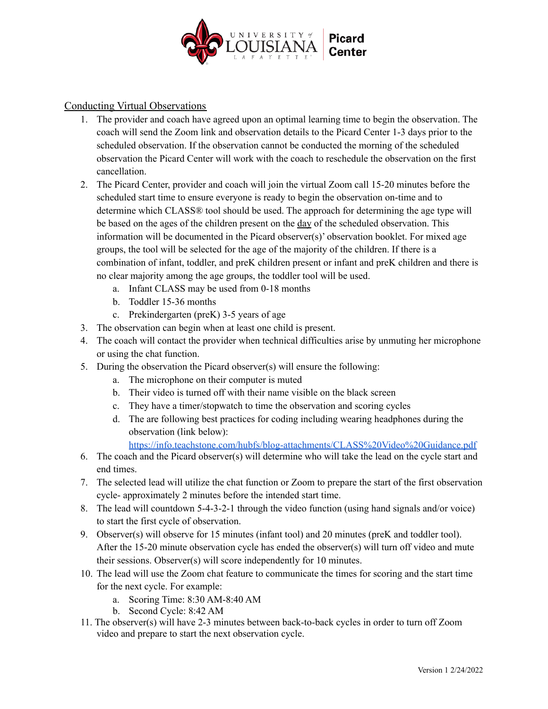

Conducting Virtual Observations

- 1. The provider and coach have agreed upon an optimal learning time to begin the observation. The coach will send the Zoom link and observation details to the Picard Center 1-3 days prior to the scheduled observation. If the observation cannot be conducted the morning of the scheduled observation the Picard Center will work with the coach to reschedule the observation on the first cancellation.
- 2. The Picard Center, provider and coach will join the virtual Zoom call 15-20 minutes before the scheduled start time to ensure everyone is ready to begin the observation on-time and to determine which CLASS® tool should be used. The approach for determining the age type will be based on the ages of the children present on the day of the scheduled observation. This information will be documented in the Picard observer(s)' observation booklet. For mixed age groups, the tool will be selected for the age of the majority of the children. If there is a combination of infant, toddler, and preK children present or infant and preK children and there is no clear majority among the age groups, the toddler tool will be used.
	- a. Infant CLASS may be used from 0-18 months
	- b. Toddler 15-36 months
	- c. Prekindergarten (preK) 3-5 years of age
- 3. The observation can begin when at least one child is present.
- 4. The coach will contact the provider when technical difficulties arise by unmuting her microphone or using the chat function.
- 5. During the observation the Picard observer(s) will ensure the following:
	- a. The microphone on their computer is muted
	- b. Their video is turned off with their name visible on the black screen
	- c. They have a timer/stopwatch to time the observation and scoring cycles
	- d. The are following best practices for coding including wearing headphones during the observation (link below):
		- <https://info.teachstone.com/hubfs/blog-attachments/CLASS%20Video%20Guidance.pdf>
- 6. The coach and the Picard observer(s) will determine who will take the lead on the cycle start and end times.
- 7. The selected lead will utilize the chat function or Zoom to prepare the start of the first observation cycle- approximately 2 minutes before the intended start time.
- 8. The lead will countdown 5-4-3-2-1 through the video function (using hand signals and/or voice) to start the first cycle of observation.
- 9. Observer(s) will observe for 15 minutes (infant tool) and 20 minutes (preK and toddler tool). After the 15-20 minute observation cycle has ended the observer(s) will turn off video and mute their sessions. Observer(s) will score independently for 10 minutes.
- 10. The lead will use the Zoom chat feature to communicate the times for scoring and the start time for the next cycle. For example:
	- a. Scoring Time: 8:30 AM-8:40 AM
	- b. Second Cycle: 8:42 AM
- 11. The observer(s) will have 2-3 minutes between back-to-back cycles in order to turn off Zoom video and prepare to start the next observation cycle.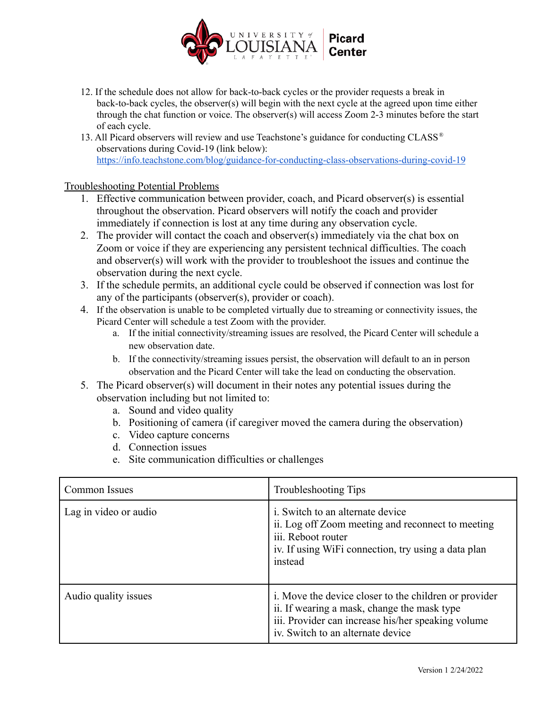

- 12. If the schedule does not allow for back-to-back cycles or the provider requests a break in back-to-back cycles, the observer(s) will begin with the next cycle at the agreed upon time either through the chat function or voice. The observer(s) will access Zoom 2-3 minutes before the start of each cycle.
- 13. All Picard observers will review and use Teachstone's guidance for conducting CLASS ® observations during Covid-19 (link below): <https://info.teachstone.com/blog/guidance-for-conducting-class-observations-during-covid-19>

# Troubleshooting Potential Problems

- 1. Effective communication between provider, coach, and Picard observer(s) is essential throughout the observation. Picard observers will notify the coach and provider immediately if connection is lost at any time during any observation cycle.
- 2. The provider will contact the coach and observer(s) immediately via the chat box on Zoom or voice if they are experiencing any persistent technical difficulties. The coach and observer(s) will work with the provider to troubleshoot the issues and continue the observation during the next cycle.
- 3. If the schedule permits, an additional cycle could be observed if connection was lost for any of the participants (observer(s), provider or coach).
- 4. If the observation is unable to be completed virtually due to streaming or connectivity issues, the Picard Center will schedule a test Zoom with the provider.
	- a. If the initial connectivity/streaming issues are resolved, the Picard Center will schedule a new observation date.
	- b. If the connectivity/streaming issues persist, the observation will default to an in person observation and the Picard Center will take the lead on conducting the observation.
- 5. The Picard observer(s) will document in their notes any potential issues during the observation including but not limited to:
	- a. Sound and video quality
	- b. Positioning of camera (if caregiver moved the camera during the observation)
	- c. Video capture concerns
	- d. Connection issues
	- e. Site communication difficulties or challenges

| <b>Common Issues</b>  | Troubleshooting Tips                                                                                                                                                                            |
|-----------------------|-------------------------------------------------------------------------------------------------------------------------------------------------------------------------------------------------|
| Lag in video or audio | <i>i.</i> Switch to an alternate device<br>ii. Log off Zoom meeting and reconnect to meeting<br>iii. Reboot router<br>iv. If using WiFi connection, try using a data plan<br>instead            |
| Audio quality issues  | i. Move the device closer to the children or provider<br>ii. If wearing a mask, change the mask type<br>iii. Provider can increase his/her speaking volume<br>iv. Switch to an alternate device |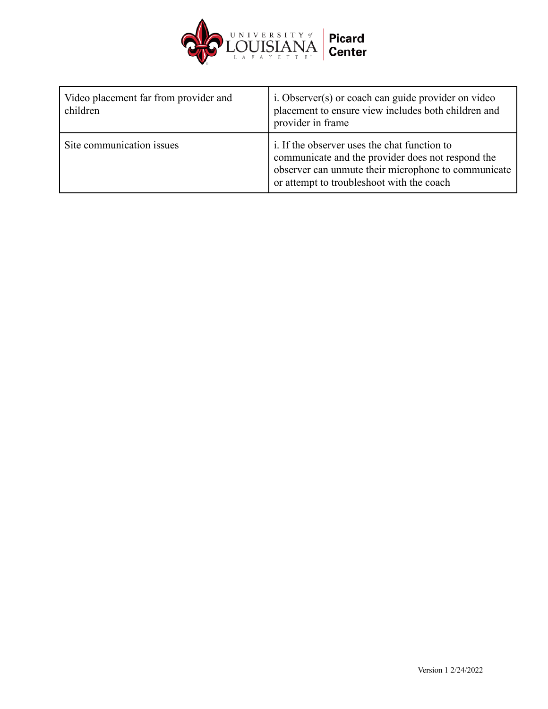

| Video placement far from provider and<br>children | i. Observer(s) or coach can guide provider on video<br>placement to ensure view includes both children and<br>provider in frame                                                                       |
|---------------------------------------------------|-------------------------------------------------------------------------------------------------------------------------------------------------------------------------------------------------------|
| Site communication issues                         | i. If the observer uses the chat function to<br>communicate and the provider does not respond the<br>observer can unmute their microphone to communicate<br>or attempt to troubleshoot with the coach |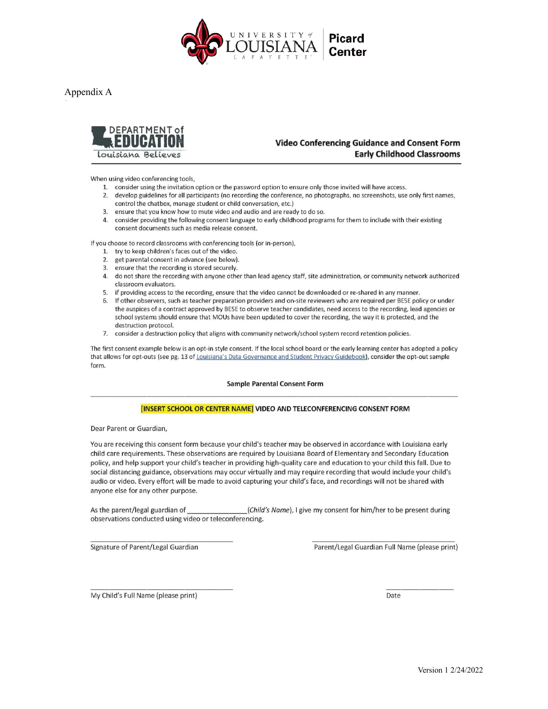

Appendix A



### **Video Conferencing Guidance and Consent Form Early Childhood Classrooms**

When using video conferencing tools,

- 1. consider using the invitation option or the password option to ensure only those invited will have access.
- 2. develop guidelines for all participants (no recording the conference, no photographs, no screenshots, use only first names, control the chatbox, manage student or child conversation, etc.)
- 3. ensure that you know how to mute video and audio and are ready to do so.
- 4. consider providing the following consent language to early childhood programs for them to include with their existing consent documents such as media release consent.

If you choose to record classrooms with conferencing tools (or in-person),

- 1. try to keep children's faces out of the video.
- 2. get parental consent in advance (see below).
- 3. ensure that the recording is stored securely.
- 4. do not share the recording with anyone other than lead agency staff, site administration, or community network authorized classroom evaluators.
- 5. if providing access to the recording, ensure that the video cannot be downloaded or re-shared in any manner.
- If other observers, such as teacher preparation providers and on-site reviewers who are required per BESE policy or under 6. the auspices of a contract approved by BESE to observe teacher candidates, need access to the recording, lead agencies or school systems should ensure that MOUs have been updated to cover the recording, the way it is protected, and the destruction protocol.
- 7. consider a destruction policy that aligns with community network/school system record retention policies.

The first consent example below is an opt-in style consent. If the local school board or the early learning center has adopted a policy that allows for opt-outs (see pg. 13 of Louisiana's Data Governance and Student Privacy Guidebook), consider the opt-out sample form.

#### **Sample Parental Consent Form**

#### [INSERT SCHOOL OR CENTER NAME] VIDEO AND TELECONFERENCING CONSENT FORM

Dear Parent or Guardian,

You are receiving this consent form because your child's teacher may be observed in accordance with Louisiana early child care requirements. These observations are required by Louisiana Board of Elementary and Secondary Education policy, and help support your child's teacher in providing high-quality care and education to your child this fall. Due to social distancing guidance, observations may occur virtually and may require recording that would include your child's audio or video. Every effort will be made to avoid capturing your child's face, and recordings will not be shared with anyone else for any other purpose.

As the parent/legal guardian of (Child's Name), I give my consent for him/her to be present during observations conducted using video or teleconferencing.

Signature of Parent/Legal Guardian

Parent/Legal Guardian Full Name (please print)

My Child's Full Name (please print)

Date